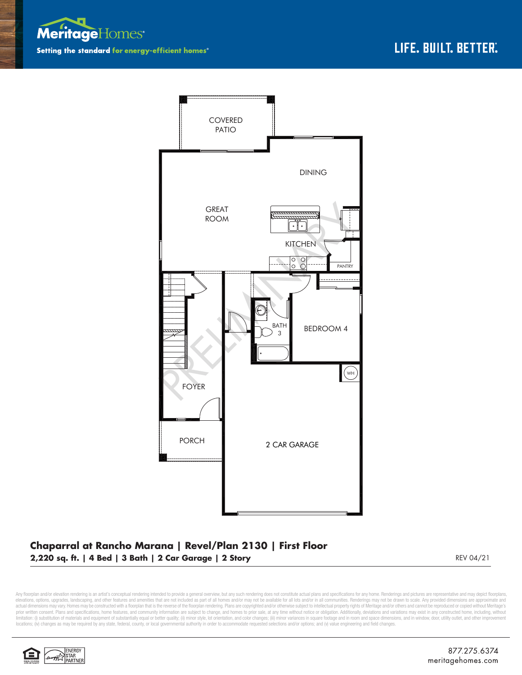



## **Chaparral at Rancho Marana | Revel/Plan 2130 | First Floor 2,220 sq. ft. | 4 Bed | 3 Bath | 2 Car Garage | 2 Story** REV 04/21

Any floorplan and/or elevation rendering is an artist's conceptual rendering intended to provide a general overview, but any such rendering does not constitute actual plans and specifications for any home. Renderings and p elevations, options, upgrades, landscaping, and other features and amenities that are not included as part of all homes and/or may not be available for all lots and/or in all communities. Renderings may not be drawn to sca limitation: (i) substitution of materials and equipment of substantially equal or better quality; (ii) minor style, lot orientation, and color changes; (iii) minor variances in square footage and in room and space dimensio locations; (iv) changes as may be required by any state, federal, county, or local governmental authority in order to accommodate requested selections and/or options; and (v) value engineering and field changes.